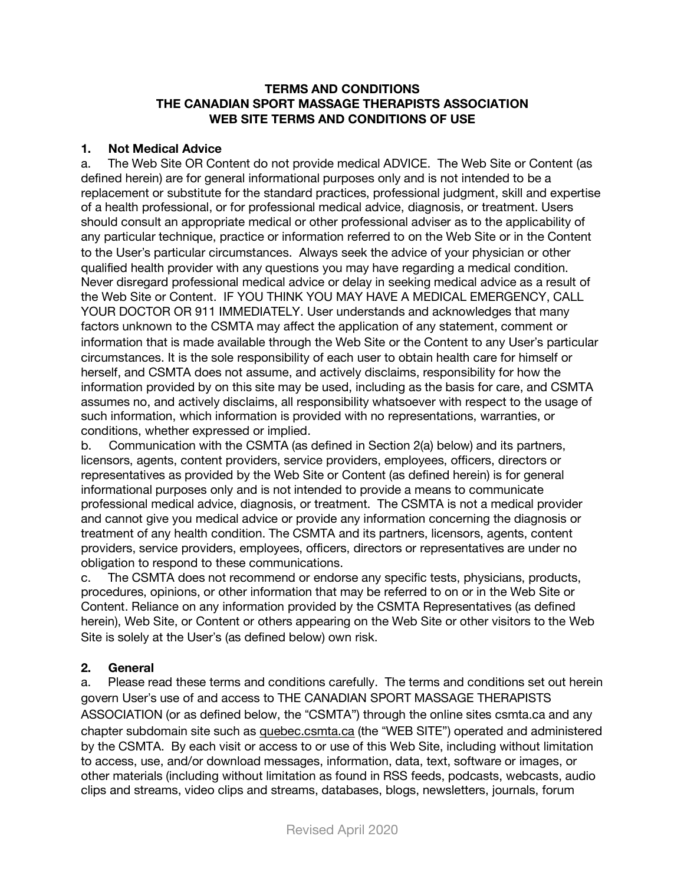#### **TERMS AND CONDITIONS THE CANADIAN SPORT MASSAGE THERAPISTS ASSOCIATION WEB SITE TERMS AND CONDITIONS OF USE**

#### **1. Not Medical Advice**

a. The Web Site OR Content do not provide medical ADVICE. The Web Site or Content (as defined herein) are for general informational purposes only and is not intended to be a replacement or substitute for the standard practices, professional judgment, skill and expertise of a health professional, or for professional medical advice, diagnosis, or treatment. Users should consult an appropriate medical or other professional adviser as to the applicability of any particular technique, practice or information referred to on the Web Site or in the Content to the User's particular circumstances. Always seek the advice of your physician or other qualified health provider with any questions you may have regarding a medical condition. Never disregard professional medical advice or delay in seeking medical advice as a result of the Web Site or Content. IF YOU THINK YOU MAY HAVE A MEDICAL EMERGENCY, CALL YOUR DOCTOR OR 911 IMMEDIATELY. User understands and acknowledges that many factors unknown to the CSMTA may affect the application of any statement, comment or information that is made available through the Web Site or the Content to any User's particular circumstances. It is the sole responsibility of each user to obtain health care for himself or herself, and CSMTA does not assume, and actively disclaims, responsibility for how the information provided by on this site may be used, including as the basis for care, and CSMTA assumes no, and actively disclaims, all responsibility whatsoever with respect to the usage of such information, which information is provided with no representations, warranties, or conditions, whether expressed or implied.

b. Communication with the CSMTA (as defined in Section 2(a) below) and its partners, licensors, agents, content providers, service providers, employees, officers, directors or representatives as provided by the Web Site or Content (as defined herein) is for general informational purposes only and is not intended to provide a means to communicate professional medical advice, diagnosis, or treatment. The CSMTA is not a medical provider and cannot give you medical advice or provide any information concerning the diagnosis or treatment of any health condition. The CSMTA and its partners, licensors, agents, content providers, service providers, employees, officers, directors or representatives are under no obligation to respond to these communications.

c. The CSMTA does not recommend or endorse any specific tests, physicians, products, procedures, opinions, or other information that may be referred to on or in the Web Site or Content. Reliance on any information provided by the CSMTA Representatives (as defined herein), Web Site, or Content or others appearing on the Web Site or other visitors to the Web Site is solely at the User's (as defined below) own risk.

### **2. General**

a. Please read these terms and conditions carefully. The terms and conditions set out herein govern User's use of and access to THE CANADIAN SPORT MASSAGE THERAPISTS ASSOCIATION (or as defined below, the "CSMTA") through the online sites csmta.ca and any chapter subdomain site such as quebec.csmta.ca (the "WEB SITE") operated and administered by the CSMTA. By each visit or access to or use of this Web Site, including without limitation to access, use, and/or download messages, information, data, text, software or images, or other materials (including without limitation as found in RSS feeds, podcasts, webcasts, audio clips and streams, video clips and streams, databases, blogs, newsletters, journals, forum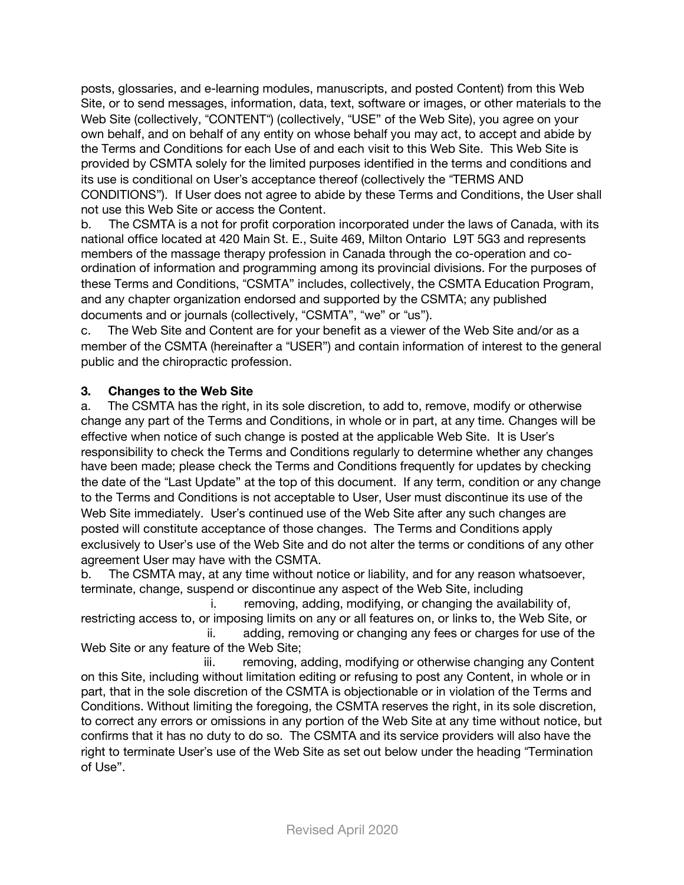posts, glossaries, and e-learning modules, manuscripts, and posted Content) from this Web Site, or to send messages, information, data, text, software or images, or other materials to the Web Site (collectively, "CONTENT") (collectively, "USE" of the Web Site), you agree on your own behalf, and on behalf of any entity on whose behalf you may act, to accept and abide by the Terms and Conditions for each Use of and each visit to this Web Site. This Web Site is provided by CSMTA solely for the limited purposes identified in the terms and conditions and its use is conditional on User's acceptance thereof (collectively the "TERMS AND CONDITIONS"). If User does not agree to abide by these Terms and Conditions, the User shall not use this Web Site or access the Content.

b. The CSMTA is a not for profit corporation incorporated under the laws of Canada, with its national office located at 420 Main St. E., Suite 469, Milton Ontario L9T 5G3 and represents members of the massage therapy profession in Canada through the co-operation and coordination of information and programming among its provincial divisions. For the purposes of these Terms and Conditions, "CSMTA" includes, collectively, the CSMTA Education Program, and any chapter organization endorsed and supported by the CSMTA; any published documents and or journals (collectively, "CSMTA", "we" or "us").

c. The Web Site and Content are for your benefit as a viewer of the Web Site and/or as a member of the CSMTA (hereinafter a "USER") and contain information of interest to the general public and the chiropractic profession.

#### **3. Changes to the Web Site**

a. The CSMTA has the right, in its sole discretion, to add to, remove, modify or otherwise change any part of the Terms and Conditions, in whole or in part, at any time. Changes will be effective when notice of such change is posted at the applicable Web Site. It is User's responsibility to check the Terms and Conditions regularly to determine whether any changes have been made; please check the Terms and Conditions frequently for updates by checking the date of the "Last Update" at the top of this document. If any term, condition or any change to the Terms and Conditions is not acceptable to User, User must discontinue its use of the Web Site immediately. User's continued use of the Web Site after any such changes are posted will constitute acceptance of those changes. The Terms and Conditions apply exclusively to User's use of the Web Site and do not alter the terms or conditions of any other agreement User may have with the CSMTA.

b. The CSMTA may, at any time without notice or liability, and for any reason whatsoever, terminate, change, suspend or discontinue any aspect of the Web Site, including

i. removing, adding, modifying, or changing the availability of, restricting access to, or imposing limits on any or all features on, or links to, the Web Site, or

ii. adding, removing or changing any fees or charges for use of the Web Site or any feature of the Web Site;

iii. removing, adding, modifying or otherwise changing any Content on this Site, including without limitation editing or refusing to post any Content, in whole or in part, that in the sole discretion of the CSMTA is objectionable or in violation of the Terms and Conditions. Without limiting the foregoing, the CSMTA reserves the right, in its sole discretion, to correct any errors or omissions in any portion of the Web Site at any time without notice, but confirms that it has no duty to do so. The CSMTA and its service providers will also have the right to terminate User's use of the Web Site as set out below under the heading "Termination" of Use".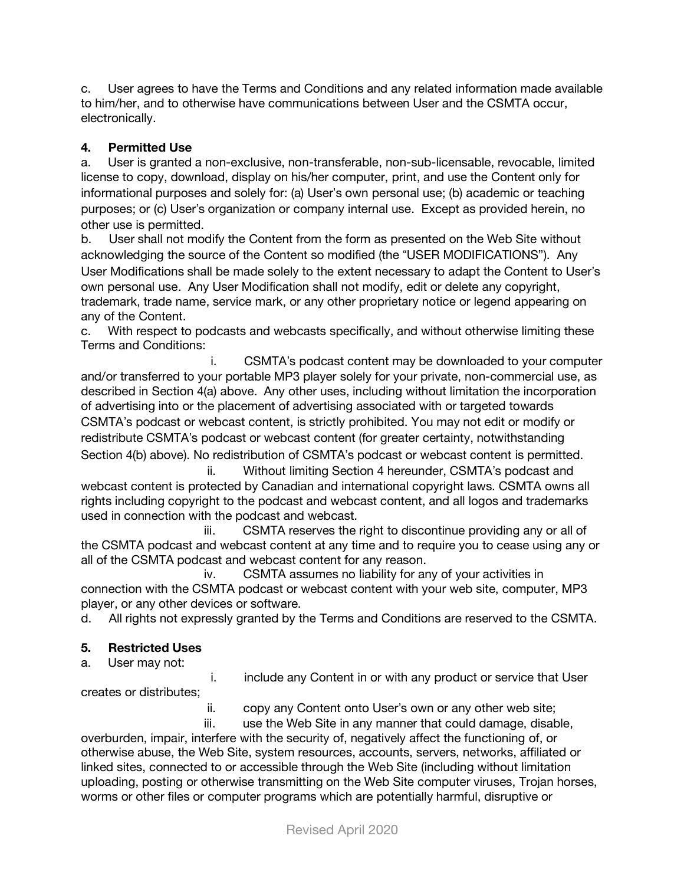c. User agrees to have the Terms and Conditions and any related information made available to him/her, and to otherwise have communications between User and the CSMTA occur, electronically.

### **4. Permitted Use**

a. User is granted a non-exclusive, non-transferable, non-sub-licensable, revocable, limited license to copy, download, display on his/her computer, print, and use the Content only for informational purposes and solely for: (a) User's own personal use; (b) academic or teaching purposes; or (c) User's organization or company internal use. Except as provided herein, no other use is permitted.

b. User shall not modify the Content from the form as presented on the Web Site without acknowledging the source of the Content so modified (the "USER MODIFICATIONS"). Any User Modifications shall be made solely to the extent necessary to adapt the Content to User's own personal use. Any User Modification shall not modify, edit or delete any copyright, trademark, trade name, service mark, or any other proprietary notice or legend appearing on any of the Content.

c. With respect to podcasts and webcasts specifically, and without otherwise limiting these Terms and Conditions:

i. CSMTA's podcast content may be downloaded to your computer and/or transferred to your portable MP3 player solely for your private, non-commercial use, as described in Section 4(a) above. Any other uses, including without limitation the incorporation of advertising into or the placement of advertising associated with or targeted towards CSMTA's podcast or webcast content, is strictly prohibited. You may not edit or modify or redistribute CSMTA's podcast or webcast content (for greater certainty, notwithstanding Section 4(b) above). No redistribution of CSMTA's podcast or webcast content is permitted.

ii. Without limiting Section 4 hereunder, CSMTA's podcast and webcast content is protected by Canadian and international copyright laws. CSMTA owns all rights including copyright to the podcast and webcast content, and all logos and trademarks used in connection with the podcast and webcast.

iii. CSMTA reserves the right to discontinue providing any or all of the CSMTA podcast and webcast content at any time and to require you to cease using any or all of the CSMTA podcast and webcast content for any reason.

iv. CSMTA assumes no liability for any of your activities in connection with the CSMTA podcast or webcast content with your web site, computer, MP3 player, or any other devices or software.

d. All rights not expressly granted by the Terms and Conditions are reserved to the CSMTA.

# **5. Restricted Uses**

a. User may not:

i. include any Content in or with any product or service that User

creates or distributes;

ii. copy any Content onto User's own or any other web site;

iii. use the Web Site in any manner that could damage, disable, overburden, impair, interfere with the security of, negatively affect the functioning of, or otherwise abuse, the Web Site, system resources, accounts, servers, networks, affiliated or linked sites, connected to or accessible through the Web Site (including without limitation

uploading, posting or otherwise transmitting on the Web Site computer viruses, Trojan horses, worms or other files or computer programs which are potentially harmful, disruptive or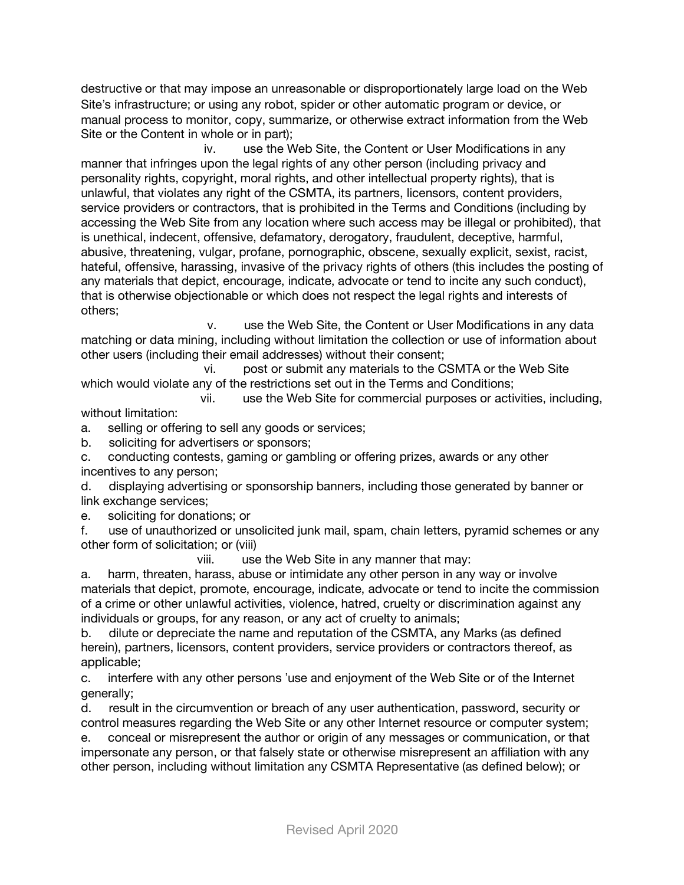destructive or that may impose an unreasonable or disproportionately large load on the Web Site's infrastructure; or using any robot, spider or other automatic program or device, or manual process to monitor, copy, summarize, or otherwise extract information from the Web Site or the Content in whole or in part);

iv. use the Web Site, the Content or User Modifications in any manner that infringes upon the legal rights of any other person (including privacy and personality rights, copyright, moral rights, and other intellectual property rights), that is unlawful, that violates any right of the CSMTA, its partners, licensors, content providers, service providers or contractors, that is prohibited in the Terms and Conditions (including by accessing the Web Site from any location where such access may be illegal or prohibited), that is unethical, indecent, offensive, defamatory, derogatory, fraudulent, deceptive, harmful, abusive, threatening, vulgar, profane, pornographic, obscene, sexually explicit, sexist, racist, hateful, offensive, harassing, invasive of the privacy rights of others (this includes the posting of any materials that depict, encourage, indicate, advocate or tend to incite any such conduct), that is otherwise objectionable or which does not respect the legal rights and interests of others;

v. use the Web Site, the Content or User Modifications in any data matching or data mining, including without limitation the collection or use of information about other users (including their email addresses) without their consent;

vi. post or submit any materials to the CSMTA or the Web Site which would violate any of the restrictions set out in the Terms and Conditions;

vii. use the Web Site for commercial purposes or activities, including, without limitation:

a. selling or offering to sell any goods or services;

b. soliciting for advertisers or sponsors;

c. conducting contests, gaming or gambling or offering prizes, awards or any other incentives to any person;

d. displaying advertising or sponsorship banners, including those generated by banner or link exchange services;

e. soliciting for donations; or

f. use of unauthorized or unsolicited junk mail, spam, chain letters, pyramid schemes or any other form of solicitation; or (viii)

viii. use the Web Site in any manner that may:

a. harm, threaten, harass, abuse or intimidate any other person in any way or involve materials that depict, promote, encourage, indicate, advocate or tend to incite the commission of a crime or other unlawful activities, violence, hatred, cruelty or discrimination against any individuals or groups, for any reason, or any act of cruelty to animals;

b. dilute or depreciate the name and reputation of the CSMTA, any Marks (as defined herein), partners, licensors, content providers, service providers or contractors thereof, as applicable;

c. interfere with any other persons 'use and enjoyment of the Web Site or of the Internet generally;

d. result in the circumvention or breach of any user authentication, password, security or control measures regarding the Web Site or any other Internet resource or computer system;

e. conceal or misrepresent the author or origin of any messages or communication, or that impersonate any person, or that falsely state or otherwise misrepresent an affiliation with any other person, including without limitation any CSMTA Representative (as defined below); or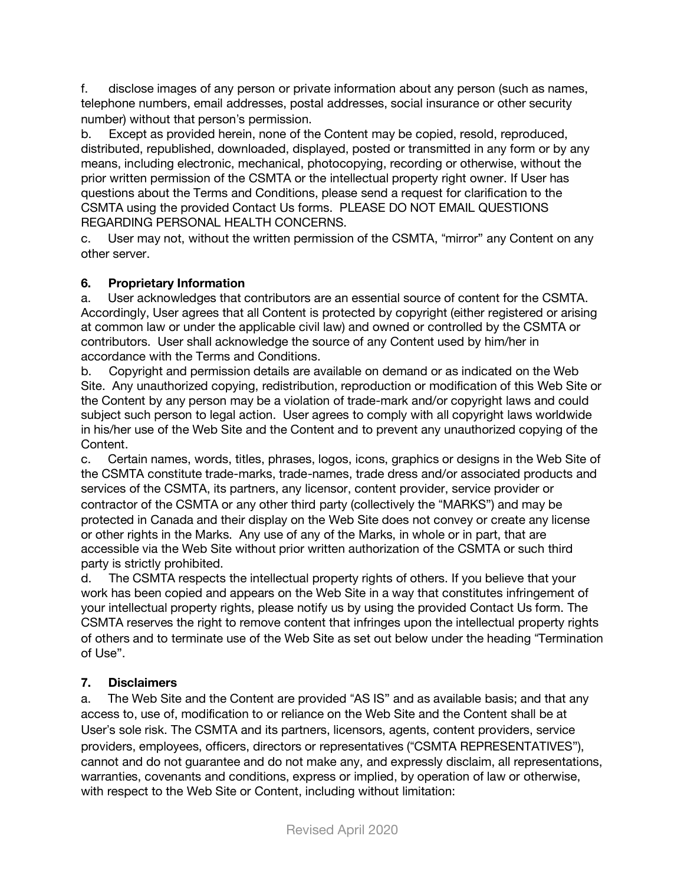f. disclose images of any person or private information about any person (such as names, telephone numbers, email addresses, postal addresses, social insurance or other security number) without that person's permission.

b. Except as provided herein, none of the Content may be copied, resold, reproduced, distributed, republished, downloaded, displayed, posted or transmitted in any form or by any means, including electronic, mechanical, photocopying, recording or otherwise, without the prior written permission of the CSMTA or the intellectual property right owner. If User has questions about the Terms and Conditions, please send a request for clarification to the CSMTA using the provided Contact Us forms. PLEASE DO NOT EMAIL QUESTIONS REGARDING PERSONAL HEALTH CONCERNS.

c. User may not, without the written permission of the CSMTA, "mirror" any Content on any other server.

# **6. Proprietary Information**

a. User acknowledges that contributors are an essential source of content for the CSMTA. Accordingly, User agrees that all Content is protected by copyright (either registered or arising at common law or under the applicable civil law) and owned or controlled by the CSMTA or contributors. User shall acknowledge the source of any Content used by him/her in accordance with the Terms and Conditions.

b. Copyright and permission details are available on demand or as indicated on the Web Site. Any unauthorized copying, redistribution, reproduction or modification of this Web Site or the Content by any person may be a violation of trade-mark and/or copyright laws and could subject such person to legal action. User agrees to comply with all copyright laws worldwide in his/her use of the Web Site and the Content and to prevent any unauthorized copying of the Content.

c. Certain names, words, titles, phrases, logos, icons, graphics or designs in the Web Site of the CSMTA constitute trade-marks, trade-names, trade dress and/or associated products and services of the CSMTA, its partners, any licensor, content provider, service provider or contractor of the CSMTA or any other third party (collectively the "MARKS") and may be protected in Canada and their display on the Web Site does not convey or create any license or other rights in the Marks. Any use of any of the Marks, in whole or in part, that are accessible via the Web Site without prior written authorization of the CSMTA or such third party is strictly prohibited.

d. The CSMTA respects the intellectual property rights of others. If you believe that your work has been copied and appears on the Web Site in a way that constitutes infringement of your intellectual property rights, please notify us by using the provided Contact Us form. The CSMTA reserves the right to remove content that infringes upon the intellectual property rights of others and to terminate use of the Web Site as set out below under the heading "Termination of Use".

### **7. Disclaimers**

a. The Web Site and the Content are provided "AS IS" and as available basis; and that any access to, use of, modification to or reliance on the Web Site and the Content shall be at User's sole risk. The CSMTA and its partners, licensors, agents, content providers, service providers, employees, officers, directors or representatives ("CSMTA REPRESENTATIVES"), cannot and do not guarantee and do not make any, and expressly disclaim, all representations, warranties, covenants and conditions, express or implied, by operation of law or otherwise, with respect to the Web Site or Content, including without limitation: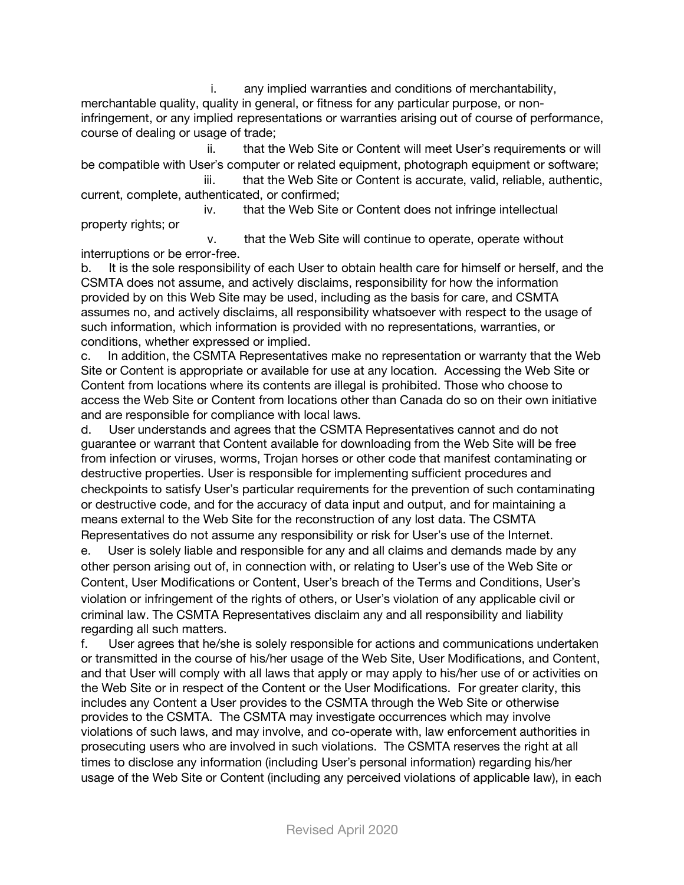i. any implied warranties and conditions of merchantability, merchantable quality, quality in general, or fitness for any particular purpose, or noninfringement, or any implied representations or warranties arising out of course of performance, course of dealing or usage of trade;

ii. that the Web Site or Content will meet User's requirements or will be compatible with User's computer or related equipment, photograph equipment or software; iii. that the Web Site or Content is accurate, valid, reliable, authentic,

current, complete, authenticated, or confirmed;

iv. that the Web Site or Content does not infringe intellectual property rights; or

v. that the Web Site will continue to operate, operate without interruptions or be error-free.

b. It is the sole responsibility of each User to obtain health care for himself or herself, and the CSMTA does not assume, and actively disclaims, responsibility for how the information provided by on this Web Site may be used, including as the basis for care, and CSMTA assumes no, and actively disclaims, all responsibility whatsoever with respect to the usage of such information, which information is provided with no representations, warranties, or conditions, whether expressed or implied.

c. In addition, the CSMTA Representatives make no representation or warranty that the Web Site or Content is appropriate or available for use at any location. Accessing the Web Site or Content from locations where its contents are illegal is prohibited. Those who choose to access the Web Site or Content from locations other than Canada do so on their own initiative and are responsible for compliance with local laws.

d. User understands and agrees that the CSMTA Representatives cannot and do not guarantee or warrant that Content available for downloading from the Web Site will be free from infection or viruses, worms, Trojan horses or other code that manifest contaminating or destructive properties. User is responsible for implementing sufficient procedures and checkpoints to satisfy User's particular requirements for the prevention of such contaminating or destructive code, and for the accuracy of data input and output, and for maintaining a means external to the Web Site for the reconstruction of any lost data. The CSMTA Representatives do not assume any responsibility or risk for User's use of the Internet.

e. User is solely liable and responsible for any and all claims and demands made by any other person arising out of, in connection with, or relating to User's use of the Web Site or Content, User Modifications or Content, User's breach of the Terms and Conditions, User's violation or infringement of the rights of others, or User's violation of any applicable civil or criminal law. The CSMTA Representatives disclaim any and all responsibility and liability regarding all such matters.

f. User agrees that he/she is solely responsible for actions and communications undertaken or transmitted in the course of his/her usage of the Web Site, User Modifications, and Content, and that User will comply with all laws that apply or may apply to his/her use of or activities on the Web Site or in respect of the Content or the User Modifications. For greater clarity, this includes any Content a User provides to the CSMTA through the Web Site or otherwise provides to the CSMTA. The CSMTA may investigate occurrences which may involve violations of such laws, and may involve, and co-operate with, law enforcement authorities in prosecuting users who are involved in such violations. The CSMTA reserves the right at all times to disclose any information (including User's personal information) regarding his/her usage of the Web Site or Content (including any perceived violations of applicable law), in each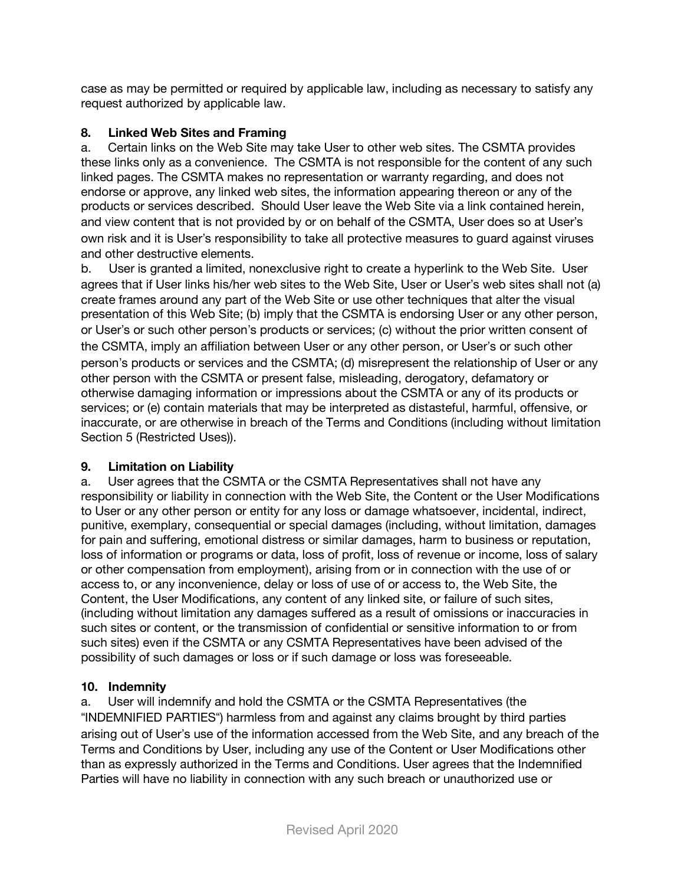case as may be permitted or required by applicable law, including as necessary to satisfy any request authorized by applicable law.

### **8. Linked Web Sites and Framing**

a. Certain links on the Web Site may take User to other web sites. The CSMTA provides these links only as a convenience. The CSMTA is not responsible for the content of any such linked pages. The CSMTA makes no representation or warranty regarding, and does not endorse or approve, any linked web sites, the information appearing thereon or any of the products or services described. Should User leave the Web Site via a link contained herein, and view content that is not provided by or on behalf of the CSMTA, User does so at User's own risk and it is User's responsibility to take all protective measures to guard against viruses and other destructive elements.

b. User is granted a limited, nonexclusive right to create a hyperlink to the Web Site. User agrees that if User links his/her web sites to the Web Site, User or User's web sites shall not (a) create frames around any part of the Web Site or use other techniques that alter the visual presentation of this Web Site; (b) imply that the CSMTA is endorsing User or any other person, or User's or such other person's products or services; (c) without the prior written consent of the CSMTA, imply an affiliation between User or any other person, or User's or such other person's products or services and the CSMTA; (d) misrepresent the relationship of User or any other person with the CSMTA or present false, misleading, derogatory, defamatory or otherwise damaging information or impressions about the CSMTA or any of its products or services; or (e) contain materials that may be interpreted as distasteful, harmful, offensive, or inaccurate, or are otherwise in breach of the Terms and Conditions (including without limitation Section 5 (Restricted Uses)).

### **9. Limitation on Liability**

a. User agrees that the CSMTA or the CSMTA Representatives shall not have any responsibility or liability in connection with the Web Site, the Content or the User Modifications to User or any other person or entity for any loss or damage whatsoever, incidental, indirect, punitive, exemplary, consequential or special damages (including, without limitation, damages for pain and suffering, emotional distress or similar damages, harm to business or reputation, loss of information or programs or data, loss of profit, loss of revenue or income, loss of salary or other compensation from employment), arising from or in connection with the use of or access to, or any inconvenience, delay or loss of use of or access to, the Web Site, the Content, the User Modifications, any content of any linked site, or failure of such sites, (including without limitation any damages suffered as a result of omissions or inaccuracies in such sites or content, or the transmission of confidential or sensitive information to or from such sites) even if the CSMTA or any CSMTA Representatives have been advised of the possibility of such damages or loss or if such damage or loss was foreseeable.

# **10. Indemnity**

a. User will indemnify and hold the CSMTA or the CSMTA Representatives (the "INDEMNIFIED PARTIES") harmless from and against any claims brought by third parties arising out of User's use of the information accessed from the Web Site, and any breach of the Terms and Conditions by User, including any use of the Content or User Modifications other than as expressly authorized in the Terms and Conditions. User agrees that the Indemnified Parties will have no liability in connection with any such breach or unauthorized use or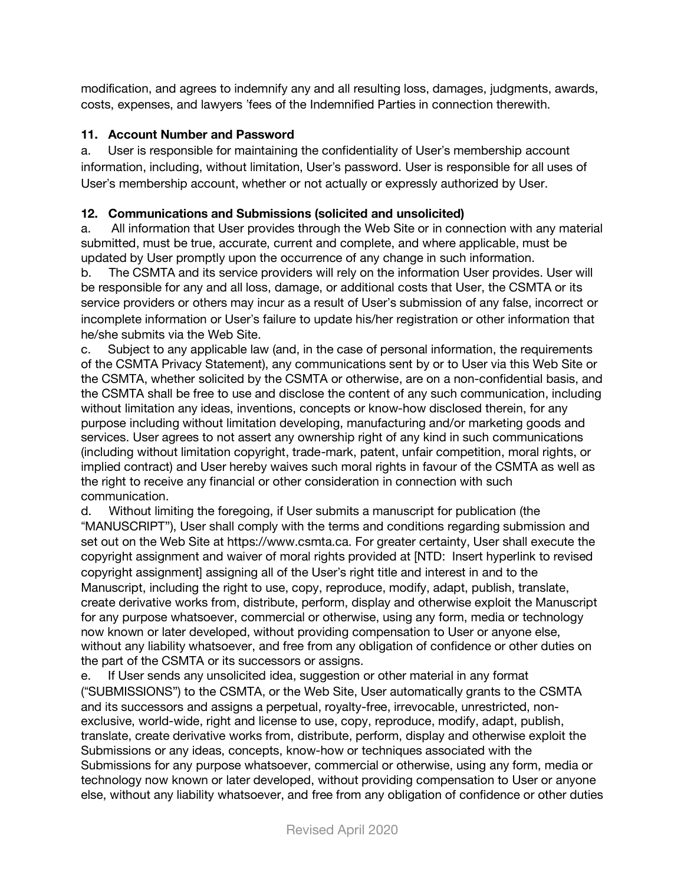modification, and agrees to indemnify any and all resulting loss, damages, judgments, awards, costs, expenses, and lawyers 'fees of the Indemnified Parties in connection therewith.

### **11. Account Number and Password**

a. User is responsible for maintaining the confidentiality of User's membership account information, including, without limitation, User's password. User is responsible for all uses of User's membership account, whether or not actually or expressly authorized by User.

## **12. Communications and Submissions (solicited and unsolicited)**

a. All information that User provides through the Web Site or in connection with any material submitted, must be true, accurate, current and complete, and where applicable, must be updated by User promptly upon the occurrence of any change in such information.

b. The CSMTA and its service providers will rely on the information User provides. User will be responsible for any and all loss, damage, or additional costs that User, the CSMTA or its service providers or others may incur as a result of User's submission of any false, incorrect or incomplete information or User's failure to update his/her registration or other information that he/she submits via the Web Site.

c. Subject to any applicable law (and, in the case of personal information, the requirements of the CSMTA Privacy Statement), any communications sent by or to User via this Web Site or the CSMTA, whether solicited by the CSMTA or otherwise, are on a non-confidential basis, and the CSMTA shall be free to use and disclose the content of any such communication, including without limitation any ideas, inventions, concepts or know-how disclosed therein, for any purpose including without limitation developing, manufacturing and/or marketing goods and services. User agrees to not assert any ownership right of any kind in such communications (including without limitation copyright, trade-mark, patent, unfair competition, moral rights, or implied contract) and User hereby waives such moral rights in favour of the CSMTA as well as the right to receive any financial or other consideration in connection with such communication.

d. Without limiting the foregoing, if User submits a manuscript for publication (the "MANUSCRIPT"), User shall comply with the terms and conditions regarding submission and set out on the Web Site at https://www.csmta.ca. For greater certainty, User shall execute the copyright assignment and waiver of moral rights provided at [NTD: Insert hyperlink to revised copyright assignment] assigning all of the User's right title and interest in and to the Manuscript, including the right to use, copy, reproduce, modify, adapt, publish, translate, create derivative works from, distribute, perform, display and otherwise exploit the Manuscript for any purpose whatsoever, commercial or otherwise, using any form, media or technology now known or later developed, without providing compensation to User or anyone else, without any liability whatsoever, and free from any obligation of confidence or other duties on the part of the CSMTA or its successors or assigns.

e. If User sends any unsolicited idea, suggestion or other material in any format ("SUBMISSIONS") to the CSMTA, or the Web Site, User automatically grants to the CSMTA and its successors and assigns a perpetual, royalty-free, irrevocable, unrestricted, nonexclusive, world-wide, right and license to use, copy, reproduce, modify, adapt, publish, translate, create derivative works from, distribute, perform, display and otherwise exploit the Submissions or any ideas, concepts, know-how or techniques associated with the Submissions for any purpose whatsoever, commercial or otherwise, using any form, media or technology now known or later developed, without providing compensation to User or anyone else, without any liability whatsoever, and free from any obligation of confidence or other duties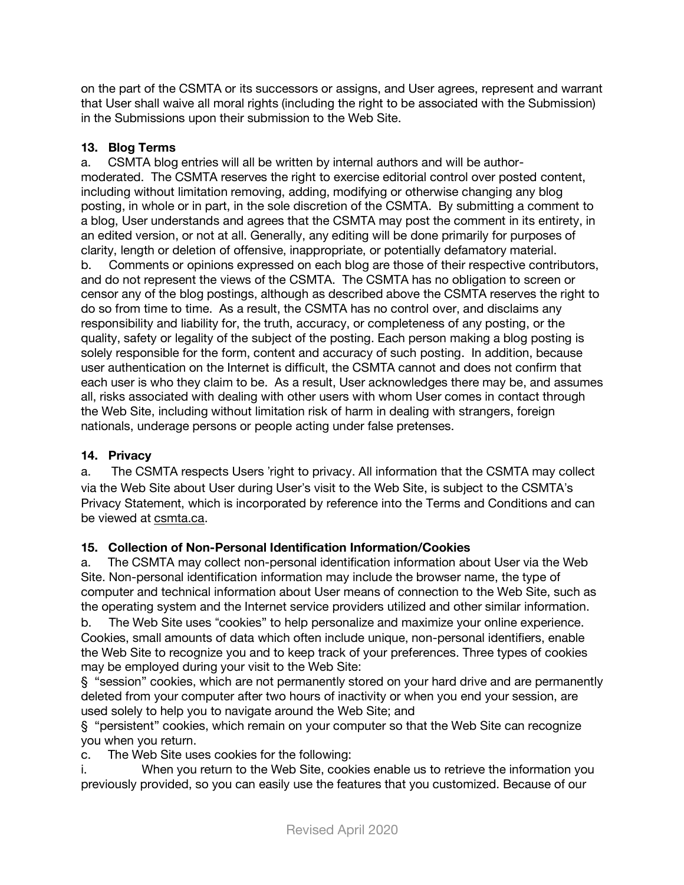on the part of the CSMTA or its successors or assigns, and User agrees, represent and warrant that User shall waive all moral rights (including the right to be associated with the Submission) in the Submissions upon their submission to the Web Site.

### **13. Blog Terms**

a. CSMTA blog entries will all be written by internal authors and will be authormoderated. The CSMTA reserves the right to exercise editorial control over posted content, including without limitation removing, adding, modifying or otherwise changing any blog posting, in whole or in part, in the sole discretion of the CSMTA. By submitting a comment to a blog, User understands and agrees that the CSMTA may post the comment in its entirety, in an edited version, or not at all. Generally, any editing will be done primarily for purposes of clarity, length or deletion of offensive, inappropriate, or potentially defamatory material.

b. Comments or opinions expressed on each blog are those of their respective contributors, and do not represent the views of the CSMTA. The CSMTA has no obligation to screen or censor any of the blog postings, although as described above the CSMTA reserves the right to do so from time to time. As a result, the CSMTA has no control over, and disclaims any responsibility and liability for, the truth, accuracy, or completeness of any posting, or the quality, safety or legality of the subject of the posting. Each person making a blog posting is solely responsible for the form, content and accuracy of such posting. In addition, because user authentication on the Internet is difficult, the CSMTA cannot and does not confirm that each user is who they claim to be. As a result, User acknowledges there may be, and assumes all, risks associated with dealing with other users with whom User comes in contact through the Web Site, including without limitation risk of harm in dealing with strangers, foreign nationals, underage persons or people acting under false pretenses.

# **14. Privacy**

a. The CSMTA respects Users 'right to privacy. All information that the CSMTA may collect via the Web Site about User during User's visit to the Web Site, is subject to the CSMTA's Privacy Statement, which is incorporated by reference into the Terms and Conditions and can be viewed at csmta.ca.

### **15. Collection of Non-Personal Identification Information/Cookies**

a. The CSMTA may collect non-personal identification information about User via the Web Site. Non-personal identification information may include the browser name, the type of computer and technical information about User means of connection to the Web Site, such as the operating system and the Internet service providers utilized and other similar information.

b. The Web Site uses "cookies" to help personalize and maximize your online experience. Cookies, small amounts of data which often include unique, non-personal identifiers, enable the Web Site to recognize you and to keep track of your preferences. Three types of cookies may be employed during your visit to the Web Site:

§ "session" cookies, which are not permanently stored on your hard drive and are permanently deleted from your computer after two hours of inactivity or when you end your session, are used solely to help you to navigate around the Web Site; and

§ "persistent" cookies, which remain on your computer so that the Web Site can recognize you when you return.

c. The Web Site uses cookies for the following:

i. When you return to the Web Site, cookies enable us to retrieve the information you previously provided, so you can easily use the features that you customized. Because of our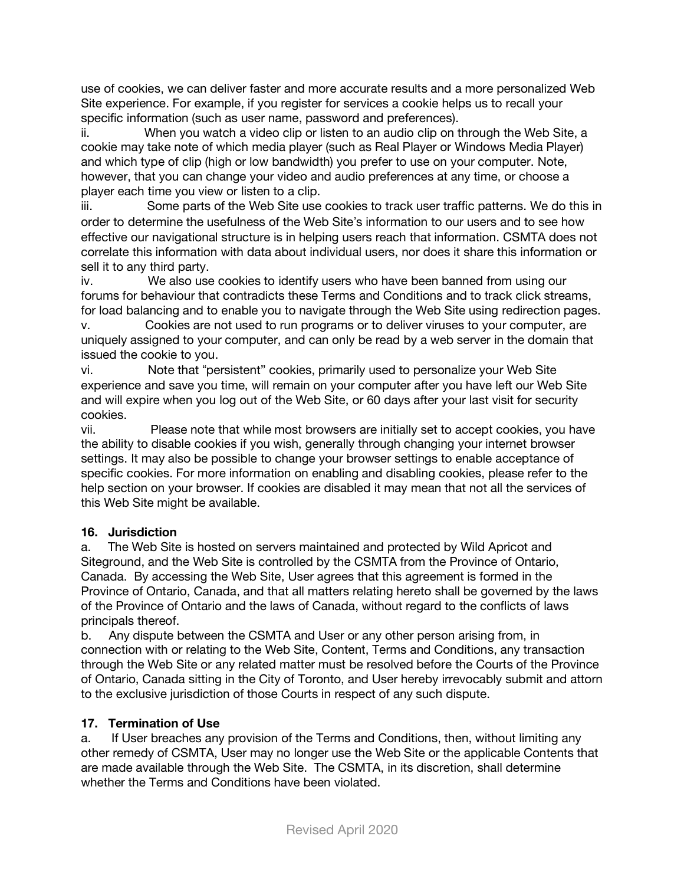use of cookies, we can deliver faster and more accurate results and a more personalized Web Site experience. For example, if you register for services a cookie helps us to recall your specific information (such as user name, password and preferences).

ii. When you watch a video clip or listen to an audio clip on through the Web Site, a cookie may take note of which media player (such as Real Player or Windows Media Player) and which type of clip (high or low bandwidth) you prefer to use on your computer. Note, however, that you can change your video and audio preferences at any time, or choose a player each time you view or listen to a clip.

iii. Some parts of the Web Site use cookies to track user traffic patterns. We do this in order to determine the usefulness of the Web Site's information to our users and to see how effective our navigational structure is in helping users reach that information. CSMTA does not correlate this information with data about individual users, nor does it share this information or sell it to any third party.

iv. We also use cookies to identify users who have been banned from using our forums for behaviour that contradicts these Terms and Conditions and to track click streams, for load balancing and to enable you to navigate through the Web Site using redirection pages.

v. Cookies are not used to run programs or to deliver viruses to your computer, are uniquely assigned to your computer, and can only be read by a web server in the domain that issued the cookie to you.

vi. Note that "persistent" cookies, primarily used to personalize your Web Site experience and save you time, will remain on your computer after you have left our Web Site and will expire when you log out of the Web Site, or 60 days after your last visit for security cookies.

vii. Please note that while most browsers are initially set to accept cookies, you have the ability to disable cookies if you wish, generally through changing your internet browser settings. It may also be possible to change your browser settings to enable acceptance of specific cookies. For more information on enabling and disabling cookies, please refer to the help section on your browser. If cookies are disabled it may mean that not all the services of this Web Site might be available.

# **16. Jurisdiction**

a. The Web Site is hosted on servers maintained and protected by Wild Apricot and Siteground, and the Web Site is controlled by the CSMTA from the Province of Ontario, Canada. By accessing the Web Site, User agrees that this agreement is formed in the Province of Ontario, Canada, and that all matters relating hereto shall be governed by the laws of the Province of Ontario and the laws of Canada, without regard to the conflicts of laws principals thereof.

b. Any dispute between the CSMTA and User or any other person arising from, in connection with or relating to the Web Site, Content, Terms and Conditions, any transaction through the Web Site or any related matter must be resolved before the Courts of the Province of Ontario, Canada sitting in the City of Toronto, and User hereby irrevocably submit and attorn to the exclusive jurisdiction of those Courts in respect of any such dispute.

### **17. Termination of Use**

a. If User breaches any provision of the Terms and Conditions, then, without limiting any other remedy of CSMTA, User may no longer use the Web Site or the applicable Contents that are made available through the Web Site. The CSMTA, in its discretion, shall determine whether the Terms and Conditions have been violated.